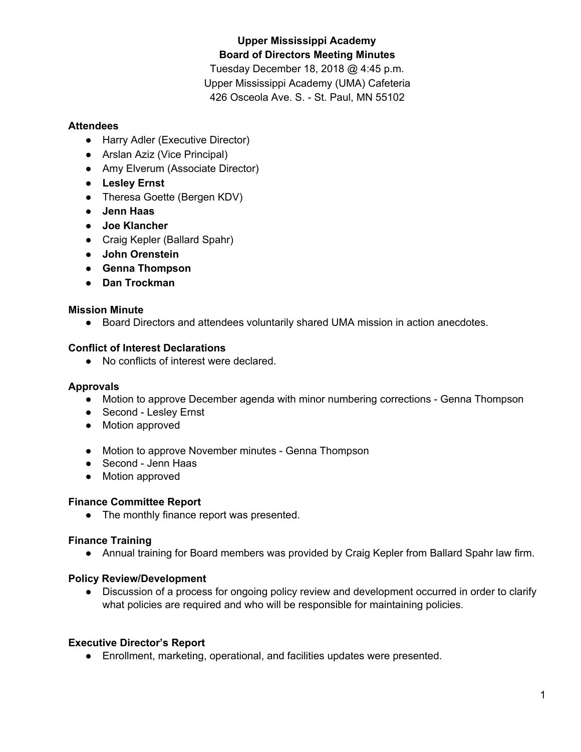# **Upper Mississippi Academy Board of Directors Meeting Minutes**

Tuesday December 18, 2018 @ 4:45 p.m. Upper Mississippi Academy (UMA) Cafeteria 426 Osceola Ave. S. - St. Paul, MN 55102

#### **Attendees**

- Harry Adler (Executive Director)
- Arslan Aziz (Vice Principal)
- Amy Elverum (Associate Director)
- **● Lesley Ernst**
- Theresa Goette (Bergen KDV)
- **● Jenn Haas**
- **● Joe Klancher**
- Craig Kepler (Ballard Spahr)
- **● John Orenstein**
- **● Genna Thompson**
- **● Dan Trockman**

### **Mission Minute**

● Board Directors and attendees voluntarily shared UMA mission in action anecdotes.

#### **Conflict of Interest Declarations**

● No conflicts of interest were declared.

### **Approvals**

- Motion to approve December agenda with minor numbering corrections Genna Thompson
- Second Lesley Ernst
- Motion approved
- Motion to approve November minutes Genna Thompson
- Second Jenn Haas
- Motion approved

#### **Finance Committee Report**

● The monthly finance report was presented.

### **Finance Training**

● Annual training for Board members was provided by Craig Kepler from Ballard Spahr law firm.

### **Policy Review/Development**

• Discussion of a process for ongoing policy review and development occurred in order to clarify what policies are required and who will be responsible for maintaining policies.

### **Executive Director's Report**

● Enrollment, marketing, operational, and facilities updates were presented.